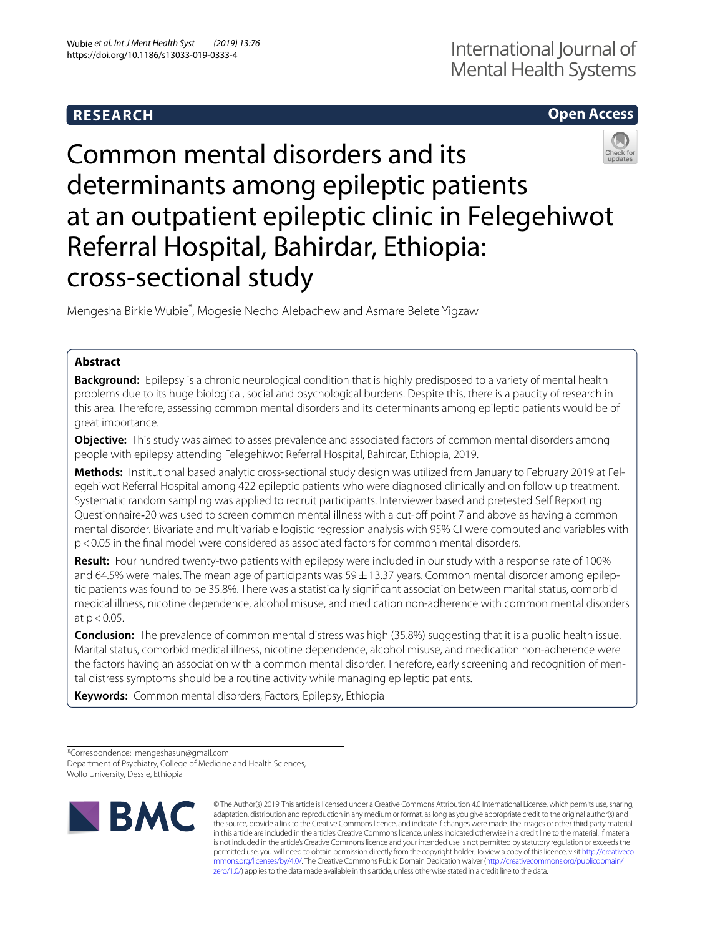# **RESEARCH**

## **Open Access**



# Common mental disorders and its determinants among epileptic patients at an outpatient epileptic clinic in Felegehiwot Referral Hospital, Bahirdar, Ethiopia: cross-sectional study

Mengesha Birkie Wubie\* , Mogesie Necho Alebachew and Asmare Belete Yigzaw

## **Abstract**

**Background:** Epilepsy is a chronic neurological condition that is highly predisposed to a variety of mental health problems due to its huge biological, social and psychological burdens. Despite this, there is a paucity of research in this area. Therefore, assessing common mental disorders and its determinants among epileptic patients would be of great importance.

**Objective:** This study was aimed to asses prevalence and associated factors of common mental disorders among people with epilepsy attending Felegehiwot Referral Hospital, Bahirdar, Ethiopia, 2019.

**Methods:** Institutional based analytic cross-sectional study design was utilized from January to February 2019 at Felegehiwot Referral Hospital among 422 epileptic patients who were diagnosed clinically and on follow up treatment. Systematic random sampling was applied to recruit participants. Interviewer based and pretested Self Reporting Questionnaire-20 was used to screen common mental illness with a cut-off point 7 and above as having a common mental disorder. Bivariate and multivariable logistic regression analysis with 95% CI were computed and variables with p<0.05 in the fnal model were considered as associated factors for common mental disorders.

**Result:** Four hundred twenty-two patients with epilepsy were included in our study with a response rate of 100% and 64.5% were males. The mean age of participants was  $59 \pm 13.37$  years. Common mental disorder among epileptic patients was found to be 35.8%. There was a statistically signifcant association between marital status, comorbid medical illness, nicotine dependence, alcohol misuse, and medication non-adherence with common mental disorders at  $p < 0.05$ .

**Conclusion:** The prevalence of common mental distress was high (35.8%) suggesting that it is a public health issue. Marital status, comorbid medical illness, nicotine dependence, alcohol misuse, and medication non-adherence were the factors having an association with a common mental disorder. Therefore, early screening and recognition of mental distress symptoms should be a routine activity while managing epileptic patients.

**Keywords:** Common mental disorders, Factors, Epilepsy, Ethiopia

\*Correspondence: mengeshasun@gmail.com Department of Psychiatry, College of Medicine and Health Sciences, Wollo University, Dessie, Ethiopia



© The Author(s) 2019. This article is licensed under a Creative Commons Attribution 4.0 International License, which permits use, sharing, adaptation, distribution and reproduction in any medium or format, as long as you give appropriate credit to the original author(s) and the source, provide a link to the Creative Commons licence, and indicate if changes were made. The images or other third party material in this article are included in the article's Creative Commons licence, unless indicated otherwise in a credit line to the material. If material is not included in the article's Creative Commons licence and your intended use is not permitted by statutory regulation or exceeds the permitted use, you will need to obtain permission directly from the copyright holder. To view a copy of this licence, visit [http://creativeco](http://creativecommons.org/licenses/by/4.0/) [mmons.org/licenses/by/4.0/.](http://creativecommons.org/licenses/by/4.0/) The Creative Commons Public Domain Dedication waiver ([http://creativecommons.org/publicdomain/](http://creativecommons.org/publicdomain/zero/1.0/) [zero/1.0/\)](http://creativecommons.org/publicdomain/zero/1.0/) applies to the data made available in this article, unless otherwise stated in a credit line to the data.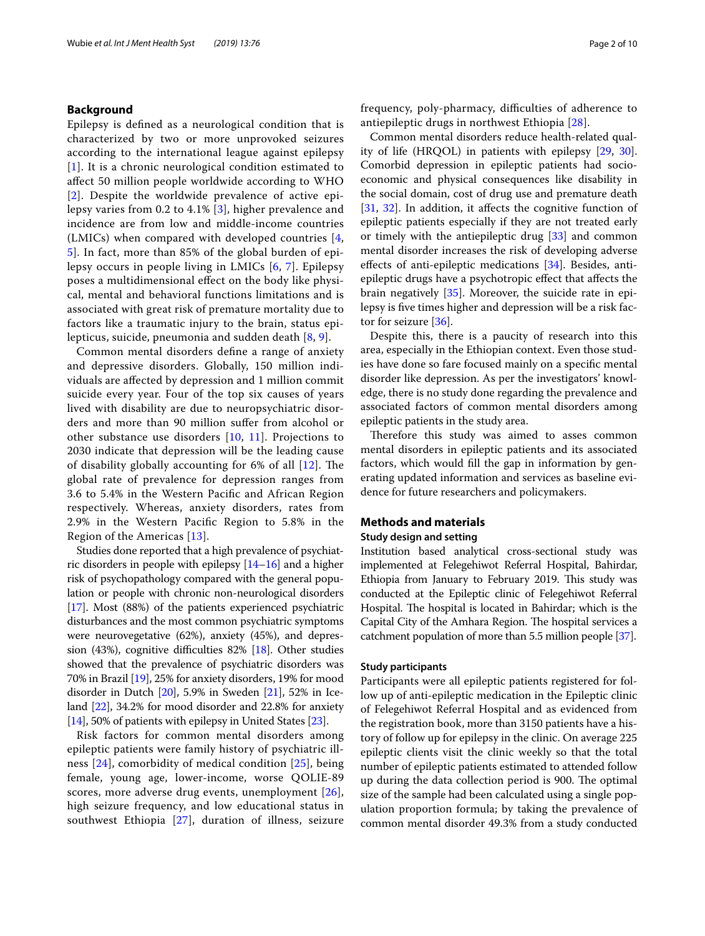## **Background**

Epilepsy is defned as a neurological condition that is characterized by two or more unprovoked seizures according to the international league against epilepsy [[1](#page-7-0)]. It is a chronic neurological condition estimated to afect 50 million people worldwide according to WHO [[2](#page-7-1)]. Despite the worldwide prevalence of active epilepsy varies from 0.2 to 4.1% [[3\]](#page-7-2), higher prevalence and incidence are from low and middle-income countries (LMICs) when compared with developed countries [\[4](#page-7-3), [5\]](#page-7-4). In fact, more than 85% of the global burden of epilepsy occurs in people living in LMICs [[6,](#page-7-5) [7](#page-7-6)]. Epilepsy poses a multidimensional efect on the body like physical, mental and behavioral functions limitations and is associated with great risk of premature mortality due to factors like a traumatic injury to the brain, status epilepticus, suicide, pneumonia and sudden death [\[8,](#page-7-7) [9](#page-7-8)].

Common mental disorders defne a range of anxiety and depressive disorders. Globally, 150 million individuals are afected by depression and 1 million commit suicide every year. Four of the top six causes of years lived with disability are due to neuropsychiatric disorders and more than 90 million sufer from alcohol or other substance use disorders [[10,](#page-7-9) [11](#page-7-10)]. Projections to 2030 indicate that depression will be the leading cause of disability globally accounting for  $6\%$  of all  $[12]$  $[12]$ . The global rate of prevalence for depression ranges from 3.6 to 5.4% in the Western Pacifc and African Region respectively. Whereas, anxiety disorders, rates from 2.9% in the Western Pacifc Region to 5.8% in the Region of the Americas [\[13](#page-7-12)].

Studies done reported that a high prevalence of psychiatric disorders in people with epilepsy [\[14](#page-8-0)[–16](#page-8-1)] and a higher risk of psychopathology compared with the general population or people with chronic non-neurological disorders [[17](#page-8-2)]. Most (88%) of the patients experienced psychiatric disturbances and the most common psychiatric symptoms were neurovegetative (62%), anxiety (45%), and depression (43%), cognitive difficulties  $82\%$  [[18](#page-8-3)]. Other studies showed that the prevalence of psychiatric disorders was 70% in Brazil [\[19](#page-8-4)], 25% for anxiety disorders, 19% for mood disorder in Dutch [[20](#page-8-5)], 5.9% in Sweden [[21](#page-8-6)], 52% in Iceland [\[22\]](#page-8-7), 34.2% for mood disorder and 22.8% for anxiety [[14](#page-8-0)], 50% of patients with epilepsy in United States [\[23\]](#page-8-8).

Risk factors for common mental disorders among epileptic patients were family history of psychiatric illness [[24](#page-8-9)], comorbidity of medical condition [[25\]](#page-8-10), being female, young age, lower-income, worse QOLIE-89 scores, more adverse drug events, unemployment [[26\]](#page-8-11), high seizure frequency, and low educational status in southwest Ethiopia [[27](#page-8-12)], duration of illness, seizure frequency, poly-pharmacy, difficulties of adherence to antiepileptic drugs in northwest Ethiopia [[28\]](#page-8-13).

Common mental disorders reduce health-related quality of life (HRQOL) in patients with epilepsy [[29,](#page-8-14) [30](#page-8-15)]. Comorbid depression in epileptic patients had socioeconomic and physical consequences like disability in the social domain, cost of drug use and premature death [[31,](#page-8-16) [32](#page-8-17)]. In addition, it afects the cognitive function of epileptic patients especially if they are not treated early or timely with the antiepileptic drug [\[33](#page-8-18)] and common mental disorder increases the risk of developing adverse efects of anti-epileptic medications [[34\]](#page-8-19). Besides, antiepileptic drugs have a psychotropic efect that afects the brain negatively [[35\]](#page-8-20). Moreover, the suicide rate in epilepsy is fve times higher and depression will be a risk factor for seizure [[36](#page-8-21)].

Despite this, there is a paucity of research into this area, especially in the Ethiopian context. Even those studies have done so fare focused mainly on a specifc mental disorder like depression. As per the investigators' knowledge, there is no study done regarding the prevalence and associated factors of common mental disorders among epileptic patients in the study area.

Therefore this study was aimed to asses common mental disorders in epileptic patients and its associated factors, which would fll the gap in information by generating updated information and services as baseline evidence for future researchers and policymakers.

## **Methods and materials**

## **Study design and setting**

Institution based analytical cross-sectional study was implemented at Felegehiwot Referral Hospital, Bahirdar, Ethiopia from January to February 2019. This study was conducted at the Epileptic clinic of Felegehiwot Referral Hospital. The hospital is located in Bahirdar; which is the Capital City of the Amhara Region. The hospital services a catchment population of more than 5.5 million people [\[37\]](#page-8-22).

#### **Study participants**

Participants were all epileptic patients registered for follow up of anti-epileptic medication in the Epileptic clinic of Felegehiwot Referral Hospital and as evidenced from the registration book, more than 3150 patients have a history of follow up for epilepsy in the clinic. On average 225 epileptic clients visit the clinic weekly so that the total number of epileptic patients estimated to attended follow up during the data collection period is 900. The optimal size of the sample had been calculated using a single population proportion formula; by taking the prevalence of common mental disorder 49.3% from a study conducted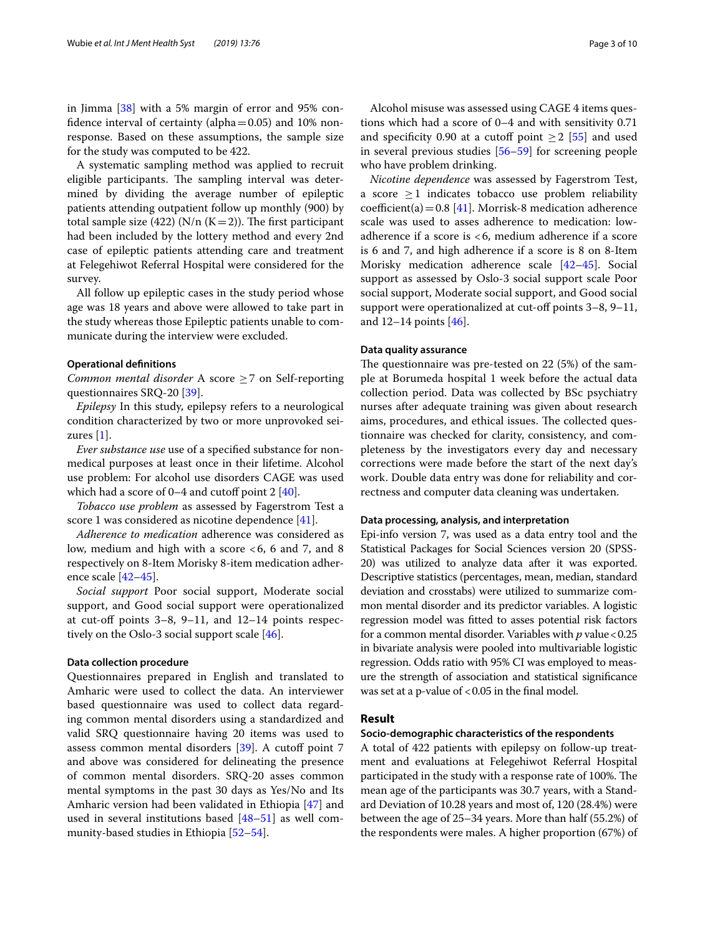in Jimma [[38\]](#page-8-23) with a 5% margin of error and 95% confidence interval of certainty (alpha $=0.05$ ) and 10% nonresponse. Based on these assumptions, the sample size for the study was computed to be 422.

A systematic sampling method was applied to recruit eligible participants. The sampling interval was determined by dividing the average number of epileptic patients attending outpatient follow up monthly (900) by total sample size (422) ( $N/n$  ( $K=2$ )). The first participant had been included by the lottery method and every 2nd case of epileptic patients attending care and treatment at Felegehiwot Referral Hospital were considered for the survey.

All follow up epileptic cases in the study period whose age was 18 years and above were allowed to take part in the study whereas those Epileptic patients unable to communicate during the interview were excluded.

#### **Operational defnitions**

*Common mental disorder* A score  $\geq$  7 on Self-reporting questionnaires SRQ-20 [[39](#page-8-24)].

*Epilepsy* In this study, epilepsy refers to a neurological condition characterized by two or more unprovoked seizures [[1\]](#page-7-0).

*Ever substance use* use of a specifed substance for nonmedical purposes at least once in their lifetime. Alcohol use problem: For alcohol use disorders CAGE was used which had a score of  $0-4$  and cutoff point 2 [\[40](#page-8-25)].

*Tobacco use problem* as assessed by Fagerstrom Test a score 1 was considered as nicotine dependence [\[41](#page-8-26)].

*Adherence to medication* adherence was considered as low, medium and high with a score  $< 6$ , 6 and 7, and 8 respectively on 8-Item Morisky 8-item medication adherence scale [\[42–](#page-8-27)[45\]](#page-8-28).

*Social support* Poor social support, Moderate social support, and Good social support were operationalized at cut-off points  $3-8$ ,  $9-11$ , and  $12-14$  points respectively on the Oslo-3 social support scale [\[46](#page-8-29)].

#### **Data collection procedure**

Questionnaires prepared in English and translated to Amharic were used to collect the data. An interviewer based questionnaire was used to collect data regarding common mental disorders using a standardized and valid SRQ questionnaire having 20 items was used to assess common mental disorders  $[39]$  $[39]$ . A cutoff point 7 and above was considered for delineating the presence of common mental disorders. SRQ-20 asses common mental symptoms in the past 30 days as Yes/No and Its Amharic version had been validated in Ethiopia [[47](#page-8-30)] and used in several institutions based [\[48](#page-8-31)[–51\]](#page-8-32) as well community-based studies in Ethiopia [\[52](#page-8-33)[–54\]](#page-8-34).

Alcohol misuse was assessed using CAGE 4 items questions which had a score of 0–4 and with sensitivity 0.71 and specificity 0.90 at a cutoff point  $\geq 2$  [[55](#page-8-35)] and used in several previous studies [\[56](#page-8-36)[–59\]](#page-8-37) for screening people who have problem drinking.

*Nicotine dependence* was assessed by Fagerstrom Test, a score  $\geq$ 1 indicates tobacco use problem reliability coefficient(a) = 0.8 [[41\]](#page-8-26). Morrisk-8 medication adherence scale was used to asses adherence to medication: lowadherence if a score is <6, medium adherence if a score is 6 and 7, and high adherence if a score is 8 on 8-Item Morisky medication adherence scale [\[42](#page-8-27)[–45\]](#page-8-28). Social support as assessed by Oslo-3 social support scale Poor social support, Moderate social support, and Good social support were operationalized at cut-off points  $3-8$ ,  $9-11$ , and 12–14 points [\[46](#page-8-29)].

## **Data quality assurance**

The questionnaire was pre-tested on  $22$  (5%) of the sample at Borumeda hospital 1 week before the actual data collection period. Data was collected by BSc psychiatry nurses after adequate training was given about research aims, procedures, and ethical issues. The collected questionnaire was checked for clarity, consistency, and completeness by the investigators every day and necessary corrections were made before the start of the next day's work. Double data entry was done for reliability and correctness and computer data cleaning was undertaken.

## **Data processing, analysis, and interpretation**

Epi-info version 7, was used as a data entry tool and the Statistical Packages for Social Sciences version 20 (SPSS-20) was utilized to analyze data after it was exported. Descriptive statistics (percentages, mean, median, standard deviation and crosstabs) were utilized to summarize common mental disorder and its predictor variables. A logistic regression model was ftted to asses potential risk factors for a common mental disorder. Variables with *p* value<0.25 in bivariate analysis were pooled into multivariable logistic regression. Odds ratio with 95% CI was employed to measure the strength of association and statistical signifcance was set at a p-value of  $< 0.05$  in the final model.

#### **Result**

## **Socio‑demographic characteristics of the respondents**

A total of 422 patients with epilepsy on follow-up treatment and evaluations at Felegehiwot Referral Hospital participated in the study with a response rate of 100%. The mean age of the participants was 30.7 years, with a Standard Deviation of 10.28 years and most of, 120 (28.4%) were between the age of 25–34 years. More than half (55.2%) of the respondents were males. A higher proportion (67%) of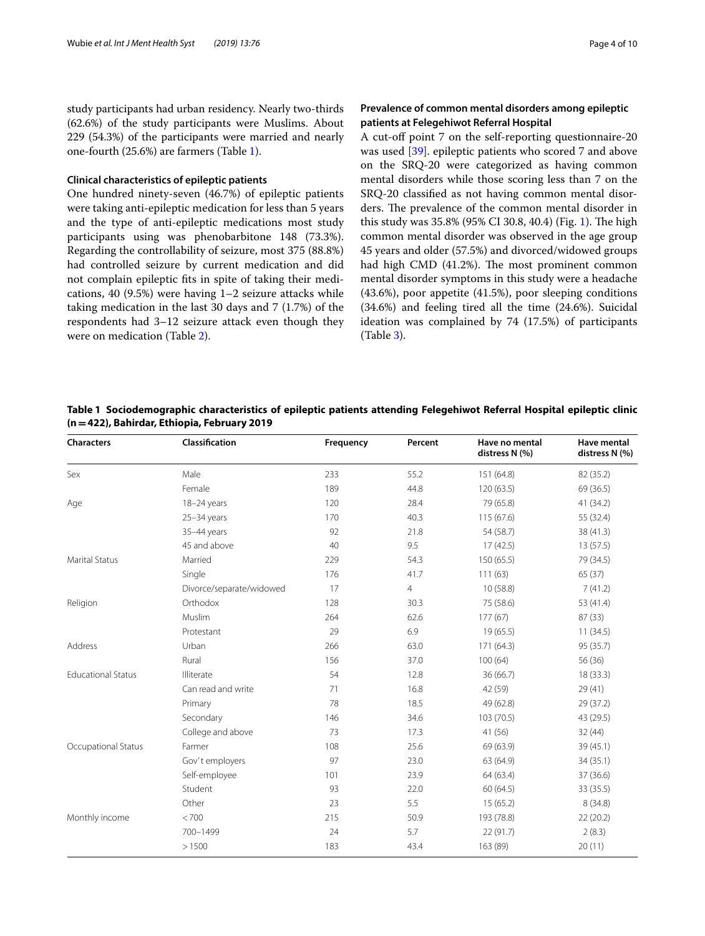study participants had urban residency. Nearly two-thirds (62.6%) of the study participants were Muslims. About 229 (54.3%) of the participants were married and nearly one-fourth (25.6%) are farmers (Table [1\)](#page-3-0).

## **Clinical characteristics of epileptic patients**

One hundred ninety-seven (46.7%) of epileptic patients were taking anti-epileptic medication for less than 5 years and the type of anti-epileptic medications most study participants using was phenobarbitone 148 (73.3%). Regarding the controllability of seizure, most 375 (88.8%) had controlled seizure by current medication and did not complain epileptic fts in spite of taking their medications, 40 (9.5%) were having 1–2 seizure attacks while taking medication in the last 30 days and 7 (1.7%) of the respondents had 3–12 seizure attack even though they were on medication (Table [2\)](#page-4-0).

## **Prevalence of common mental disorders among epileptic patients at Felegehiwot Referral Hospital**

A cut-of point 7 on the self-reporting questionnaire-20 was used [[39\]](#page-8-24). epileptic patients who scored 7 and above on the SRQ-20 were categorized as having common mental disorders while those scoring less than 7 on the SRQ-20 classifed as not having common mental disorders. The prevalence of the common mental disorder in this study was  $35.8\%$  (95% CI 30.8, 40.4) (Fig. [1\)](#page-4-1). The high common mental disorder was observed in the age group 45 years and older (57.5%) and divorced/widowed groups had high CMD (41.2%). The most prominent common mental disorder symptoms in this study were a headache (43.6%), poor appetite (41.5%), poor sleeping conditions (34.6%) and feeling tired all the time (24.6%). Suicidal ideation was complained by 74 (17.5%) of participants (Table [3\)](#page-5-0).

<span id="page-3-0"></span>

|  |                                              | Table 1 Sociodemographic characteristics of epileptic patients attending Felegehiwot Referral Hospital epileptic clinic |  |  |
|--|----------------------------------------------|-------------------------------------------------------------------------------------------------------------------------|--|--|
|  | (n = 422), Bahirdar, Ethiopia, February 2019 |                                                                                                                         |  |  |

| <b>Characters</b>         | Classification           | Frequency | Percent        | Have no mental<br>distress N (%) | Have mental<br>distress N (%) |
|---------------------------|--------------------------|-----------|----------------|----------------------------------|-------------------------------|
| Sex                       | Male                     | 233       | 55.2           | 151 (64.8)                       | 82 (35.2)                     |
|                           | Female                   | 189       | 44.8           | 120 (63.5)                       | 69 (36.5)                     |
| Age                       | 18-24 years              | 120       | 28.4           | 79 (65.8)                        | 41 (34.2)                     |
|                           | $25 - 34$ years          | 170       | 40.3           | 115(67.6)                        | 55 (32.4)                     |
|                           | 35-44 years              | 92        | 21.8           | 54 (58.7)                        | 38 (41.3)                     |
|                           | 45 and above             | 40        | 9.5            | 17(42.5)                         | 13(57.5)                      |
| <b>Marital Status</b>     | Married                  | 229       | 54.3           | 150(65.5)                        | 79 (34.5)                     |
|                           | Single                   | 176       | 41.7           | 111(63)                          | 65 (37)                       |
|                           | Divorce/separate/widowed | 17        | $\overline{4}$ | 10(58.8)                         | 7(41.2)                       |
| Religion                  | Orthodox                 | 128       | 30.3           | 75 (58.6)                        | 53 (41.4)                     |
|                           | Muslim                   | 264       | 62.6           | 177(67)                          | 87(33)                        |
|                           | Protestant               | 29        | 6.9            | 19(65.5)                         | 11(34.5)                      |
| Address                   | Urban                    | 266       | 63.0           | 171 (64.3)                       | 95 (35.7)                     |
|                           | Rural                    | 156       | 37.0           | 100(64)                          | 56 (36)                       |
| <b>Educational Status</b> | Illiterate               | 54        | 12.8           | 36 (66.7)                        | 18 (33.3)                     |
|                           | Can read and write       | 71        | 16.8           | 42 (59)                          | 29 (41)                       |
|                           | Primary                  | 78        | 18.5           | 49 (62.8)                        | 29 (37.2)                     |
|                           | Secondary                | 146       | 34.6           | 103 (70.5)                       | 43 (29.5)                     |
|                           | College and above        | 73        | 17.3           | 41 (56)                          | 32(44)                        |
| Occupational Status       | Farmer                   | 108       | 25.6           | 69 (63.9)                        | 39 (45.1)                     |
|                           | Gov't employers          | 97        | 23.0           | 63 (64.9)                        | 34 (35.1)                     |
|                           | Self-employee            | 101       | 23.9           | 64 (63.4)                        | 37 (36.6)                     |
|                           | Student                  | 93        | 22.0           | 60 (64.5)                        | 33 (35.5)                     |
|                           | Other                    | 23        | 5.5            | 15(65.2)                         | 8(34.8)                       |
| Monthly income            | < 700                    | 215       | 50.9           | 193 (78.8)                       | 22(20.2)                      |
|                           | 700-1499                 | 24        | 5.7            | 22 (91.7)                        | 2(8.3)                        |
|                           | >1500                    | 183       | 43.4           | 163 (89)                         | 20(11)                        |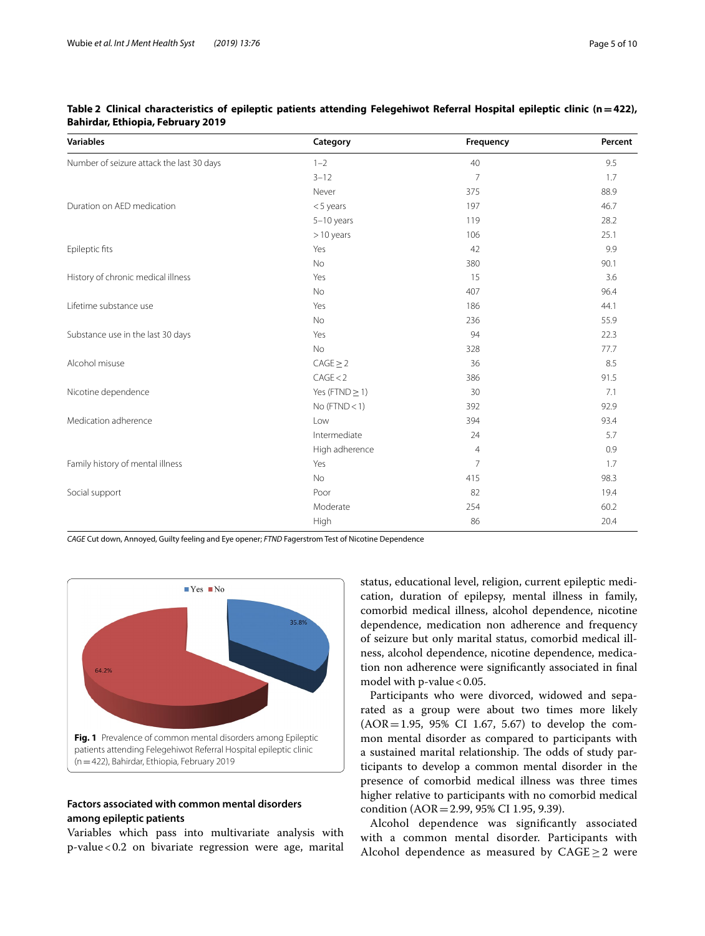| <b>Variables</b>                          | Category            | Frequency      | Percent |
|-------------------------------------------|---------------------|----------------|---------|
| Number of seizure attack the last 30 days | $1 - 2$             | 40             | 9.5     |
|                                           | $3 - 12$            | $\overline{7}$ | 1.7     |
|                                           | Never               | 375            | 88.9    |
| Duration on AED medication                | $<$ 5 years         | 197            | 46.7    |
|                                           | 5-10 years          | 119            | 28.2    |
|                                           | >10 years           | 106            | 25.1    |
| Epileptic fits                            | Yes                 | 42             | 9.9     |
|                                           | No                  | 380            | 90.1    |
| History of chronic medical illness        | Yes                 | 15             | 3.6     |
|                                           | <b>No</b>           | 407            | 96.4    |
| Lifetime substance use                    | Yes                 | 186            | 44.1    |
|                                           | <b>No</b>           | 236            | 55.9    |
| Substance use in the last 30 days         | Yes                 | 94             | 22.3    |
|                                           | <b>No</b>           | 328            | 77.7    |
| Alcohol misuse                            | $CAGE \geq 2$       | 36             | 8.5     |
|                                           | CAGE < 2            | 386            | 91.5    |
| Nicotine dependence                       | Yes (FTND $\geq$ 1) | 30             | 7.1     |
|                                           | $No$ (FTND < 1)     | 392            | 92.9    |
| Medication adherence                      | Low                 | 394            | 93.4    |
|                                           | Intermediate        | 24             | 5.7     |
|                                           | High adherence      | $\overline{4}$ | 0.9     |
| Family history of mental illness          | Yes                 | $\overline{7}$ | 1.7     |
|                                           | No                  | 415            | 98.3    |
| Social support                            | Poor                | 82             | 19.4    |
|                                           | Moderate            | 254            | 60.2    |
|                                           | High                | 86             | 20.4    |

## <span id="page-4-0"></span>**Table 2 Clinical characteristics of epileptic patients attending Felegehiwot Referral Hospital epileptic clinic (n=422), Bahirdar, Ethiopia, February 2019**

*CAGE* Cut down, Annoyed, Guilty feeling and Eye opener; *FTND* Fagerstrom Test of Nicotine Dependence



## <span id="page-4-1"></span>**Factors associated with common mental disorders among epileptic patients**

Variables which pass into multivariate analysis with p-value<0.2 on bivariate regression were age, marital status, educational level, religion, current epileptic medication, duration of epilepsy, mental illness in family, comorbid medical illness, alcohol dependence, nicotine dependence, medication non adherence and frequency of seizure but only marital status, comorbid medical illness, alcohol dependence, nicotine dependence, medication non adherence were signifcantly associated in fnal model with p-value < 0.05.

Participants who were divorced, widowed and separated as a group were about two times more likely  $(AOR = 1.95, 95\% \text{ CI } 1.67, 5.67)$  to develop the common mental disorder as compared to participants with a sustained marital relationship. The odds of study participants to develop a common mental disorder in the presence of comorbid medical illness was three times higher relative to participants with no comorbid medical condition (AOR=2.99, 95% CI 1.95, 9.39).

Alcohol dependence was signifcantly associated with a common mental disorder. Participants with Alcohol dependence as measured by  $CAGE \geq 2$  were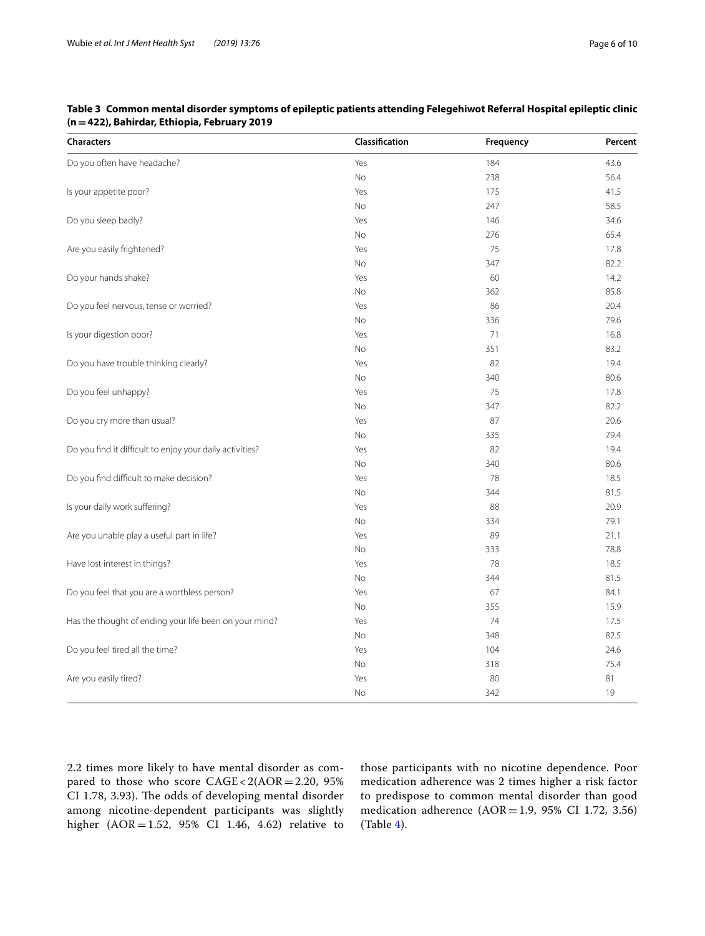| <b>Characters</b>                                        | Classification | Frequency | Percent |
|----------------------------------------------------------|----------------|-----------|---------|
| Do you often have headache?                              | Yes            | 184       | 43.6    |
|                                                          | No             | 238       | 56.4    |
| Is your appetite poor?                                   | Yes            | 175       | 41.5    |
|                                                          | No             | 247       | 58.5    |
| Do you sleep badly?                                      | Yes            | 146       | 34.6    |
|                                                          | No             | 276       | 65.4    |
| Are you easily frightened?                               | Yes            | 75        | 17.8    |
|                                                          | No             | 347       | 82.2    |
| Do your hands shake?                                     | Yes            | 60        | 14.2    |
|                                                          | No             | 362       | 85.8    |
| Do you feel nervous, tense or worried?                   | Yes            | 86        | 20.4    |
|                                                          | No             | 336       | 79.6    |
| Is your digestion poor?                                  | Yes            | 71        | 16.8    |
|                                                          | No             | 351       | 83.2    |
| Do you have trouble thinking clearly?                    | Yes            | 82        | 19.4    |
|                                                          | No             | 340       | 80.6    |
| Do you feel unhappy?                                     | Yes            | 75        | 17.8    |
|                                                          | No             | 347       | 82.2    |
| Do you cry more than usual?                              | Yes            | 87        | 20.6    |
|                                                          | <b>No</b>      | 335       | 79.4    |
| Do you find it difficult to enjoy your daily activities? | Yes            | 82        | 19.4    |
|                                                          | No             | 340       | 80.6    |
| Do you find difficult to make decision?                  | Yes            | 78        | 18.5    |
|                                                          | No             | 344       | 81.5    |
| Is your daily work suffering?                            | Yes            | 88        | 20.9    |
|                                                          | No             | 334       | 79.1    |
| Are you unable play a useful part in life?               | Yes            | 89        | 21.1    |
|                                                          | <b>No</b>      | 333       | 78.8    |
| Have lost interest in things?                            | Yes            | 78        | 18.5    |
|                                                          | No             | 344       | 81.5    |
| Do you feel that you are a worthless person?             | Yes            | 67        | 84.1    |
|                                                          | No             | 355       | 15.9    |
| Has the thought of ending your life been on your mind?   | Yes            | 74        | 17.5    |
|                                                          | No             | 348       | 82.5    |
| Do you feel tired all the time?                          | Yes            | 104       | 24.6    |
|                                                          | No             | 318       | 75.4    |
| Are you easily tired?                                    | Yes            | 80        | 81      |
|                                                          | No             | 342       | 19      |

## <span id="page-5-0"></span>**Table 3 Common mental disorder symptoms of epileptic patients attending Felegehiwot Referral Hospital epileptic clinic (n=422), Bahirdar, Ethiopia, February 2019**

2.2 times more likely to have mental disorder as compared to those who score  $CAGE < 2(AOR = 2.20, 95\%)$ CI 1.78, 3.93). The odds of developing mental disorder among nicotine-dependent participants was slightly higher (AOR=1.52, 95% CI 1.46, 4.62) relative to those participants with no nicotine dependence. Poor medication adherence was 2 times higher a risk factor to predispose to common mental disorder than good medication adherence  $(AOR=1.9, 95\% \text{ CI } 1.72, 3.56)$ (Table [4\)](#page-6-0).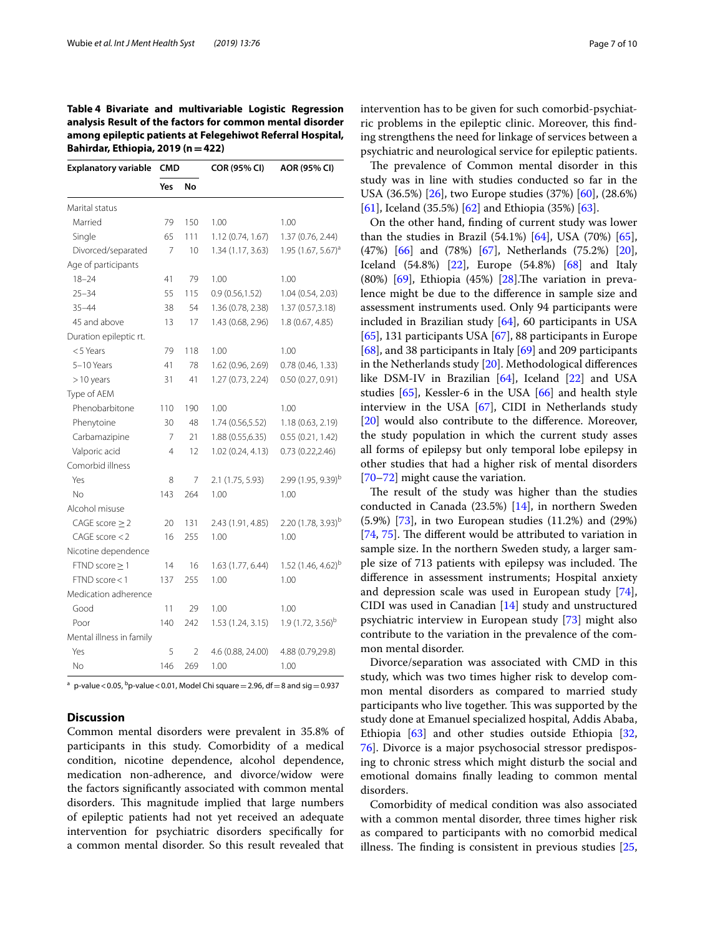<span id="page-6-0"></span>**Table 4 Bivariate and multivariable Logistic Regression analysis Result of the factors for common mental disorder among epileptic patients at Felegehiwot Referral Hospital, Bahirdar, Ethiopia, 2019 (n=422)**

| <b>Explanatory variable</b> | CMD            |                | COR (95% CI)      | AOR (95% CI)           |  |
|-----------------------------|----------------|----------------|-------------------|------------------------|--|
|                             | Yes            | <b>No</b>      |                   |                        |  |
| Marital status              |                |                |                   |                        |  |
| Married                     | 79             | 150            | 1.00              | 1.00                   |  |
| Single                      | 65             | 111            | 1.12 (0.74, 1.67) | 1.37 (0.76, 2.44)      |  |
| Divorced/separated          | 7              | 10             | 1.34 (1.17, 3.63) | $1.95(1.67, 5.67)^a$   |  |
| Age of participants         |                |                |                   |                        |  |
| $18 - 24$                   | 41             | 79             | 1.00              | 1.00                   |  |
| $25 - 34$                   | 55             | 115            | 0.9(0.56, 1.52)   | 1.04 (0.54, 2.03)      |  |
| $35 - 44$                   | 38             | 54             | 1.36 (0.78, 2.38) | 1.37 (0.57,3.18)       |  |
| 45 and above                | 13             | 17             | 1.43 (0.68, 2.96) | 1.8(0.67, 4.85)        |  |
| Duration epileptic rt.      |                |                |                   |                        |  |
| <5 Years                    | 79             | 118            | 1.00              | 1.00                   |  |
| 5-10 Years                  | 41             | 78             | 1.62 (0.96, 2.69) | 0.78(0.46, 1.33)       |  |
| $>10$ years                 | 31             | 41             | 1.27 (0.73, 2.24) | 0.50(0.27, 0.91)       |  |
| Type of AEM                 |                |                |                   |                        |  |
| Phenobarbitone              | 110            | 190            | 1.00              | 1.00                   |  |
| Phenytoine                  | 30             | 48             | 1.74 (0.56,5.52)  | 1.18 (0.63, 2.19)      |  |
| Carbamazipine               | 7              | 21             | 1.88 (0.55,6.35)  | 0.55(0.21, 1.42)       |  |
| Valporic acid               | $\overline{4}$ | 12             | 1.02 (0.24, 4.13) | 0.73 (0.22,2.46)       |  |
| Comorbid illness            |                |                |                   |                        |  |
| Yes                         | 8              | 7              | 2.1 (1.75, 5.93)  | $2.99(1.95, 9.39)^b$   |  |
| No                          | 143            | 264            | 1.00              | 1.00                   |  |
| Alcohol misuse              |                |                |                   |                        |  |
| $CAGE score \geq 2$         | 20             | 131            | 2.43 (1.91, 4.85) | $2.20(1.78, 3.93)^b$   |  |
| CAGE score < 2              | 16             | 255            | 1.00              | 1.00                   |  |
| Nicotine dependence         |                |                |                   |                        |  |
| FTND score $\geq$ 1         | 14             | 16             | 1.63 (1.77, 6.44) | $1.52(1.46, 4.62)^{b}$ |  |
| $FTND$ score $< 1$          | 137            | 255            | 1.00              | 1.00                   |  |
| Medication adherence        |                |                |                   |                        |  |
| Good                        | 11             | 29             | 1.00              | 1.00                   |  |
| Poor                        | 140            | 242            | 1.53 (1.24, 3.15) | $1.9(1.72, 3.56)^{b}$  |  |
| Mental illness in family    |                |                |                   |                        |  |
| Yes                         | 5              | $\overline{2}$ | 4.6 (0.88, 24.00) | 4.88 (0.79,29.8)       |  |
| No                          | 146            | 269            | 1.00              | 1.00                   |  |

 $^{\text{a}}$  p-value < 0.05,  $^{\text{b}}$ p-value < 0.01, Model Chi square  $=$  2.96, df  $=$  8 and sig  $=$  0.937

## **Discussion**

Common mental disorders were prevalent in 35.8% of participants in this study. Comorbidity of a medical condition, nicotine dependence, alcohol dependence, medication non-adherence, and divorce/widow were the factors signifcantly associated with common mental disorders. This magnitude implied that large numbers of epileptic patients had not yet received an adequate intervention for psychiatric disorders specifcally for a common mental disorder. So this result revealed that intervention has to be given for such comorbid-psychiatric problems in the epileptic clinic. Moreover, this fnding strengthens the need for linkage of services between a psychiatric and neurological service for epileptic patients.

The prevalence of Common mental disorder in this study was in line with studies conducted so far in the USA (36.5%) [[26](#page-8-11)], two Europe studies (37%) [\[60](#page-8-38)], (28.6%) [[61\]](#page-8-39), Iceland (35.5%) [\[62](#page-9-0)] and Ethiopia (35%) [\[63\]](#page-9-1).

On the other hand, fnding of current study was lower than the studies in Brazil (54.1%) [[64\]](#page-9-2), USA (70%) [\[65](#page-9-3)], (47%) [[66](#page-9-4)] and (78%) [[67](#page-9-5)], Netherlands (75.2%) [\[20](#page-8-5)], Iceland (54.8%) [\[22](#page-8-7)], Europe (54.8%) [\[68](#page-9-6)] and Italy  $(80%)$   $[69]$  $[69]$ , Ethiopia  $(45%)$   $[28]$  $[28]$ . The variation in prevalence might be due to the diference in sample size and assessment instruments used. Only 94 participants were included in Brazilian study [[64](#page-9-2)], 60 participants in USA [[65\]](#page-9-3), 131 participants USA [\[67](#page-9-5)], 88 participants in Europe [[68\]](#page-9-6), and 38 participants in Italy [[69\]](#page-9-7) and 209 participants in the Netherlands study [\[20\]](#page-8-5). Methodological diferences like DSM-IV in Brazilian [\[64](#page-9-2)], Iceland [[22\]](#page-8-7) and USA studies [\[65](#page-9-3)], Kessler-6 in the USA [\[66\]](#page-9-4) and health style interview in the USA [\[67](#page-9-5)], CIDI in Netherlands study [[20\]](#page-8-5) would also contribute to the difference. Moreover, the study population in which the current study asses all forms of epilepsy but only temporal lobe epilepsy in other studies that had a higher risk of mental disorders [[70–](#page-9-8)[72\]](#page-9-9) might cause the variation.

The result of the study was higher than the studies conducted in Canada (23.5%) [\[14](#page-8-0)], in northern Sweden (5.9%) [\[73\]](#page-9-10), in two European studies (11.2%) and (29%) [[74,](#page-9-11) [75\]](#page-9-12). The different would be attributed to variation in sample size. In the northern Sweden study, a larger sample size of 713 patients with epilepsy was included. The diference in assessment instruments; Hospital anxiety and depression scale was used in European study [\[74](#page-9-11)], CIDI was used in Canadian [[14](#page-8-0)] study and unstructured psychiatric interview in European study [\[73](#page-9-10)] might also contribute to the variation in the prevalence of the common mental disorder.

Divorce/separation was associated with CMD in this study, which was two times higher risk to develop common mental disorders as compared to married study participants who live together. This was supported by the study done at Emanuel specialized hospital, Addis Ababa, Ethiopia [[63](#page-9-1)] and other studies outside Ethiopia [[32](#page-8-17), [76\]](#page-9-13). Divorce is a major psychosocial stressor predisposing to chronic stress which might disturb the social and emotional domains fnally leading to common mental disorders.

Comorbidity of medical condition was also associated with a common mental disorder, three times higher risk as compared to participants with no comorbid medical illness. The finding is consistent in previous studies  $[25,$  $[25,$  $[25,$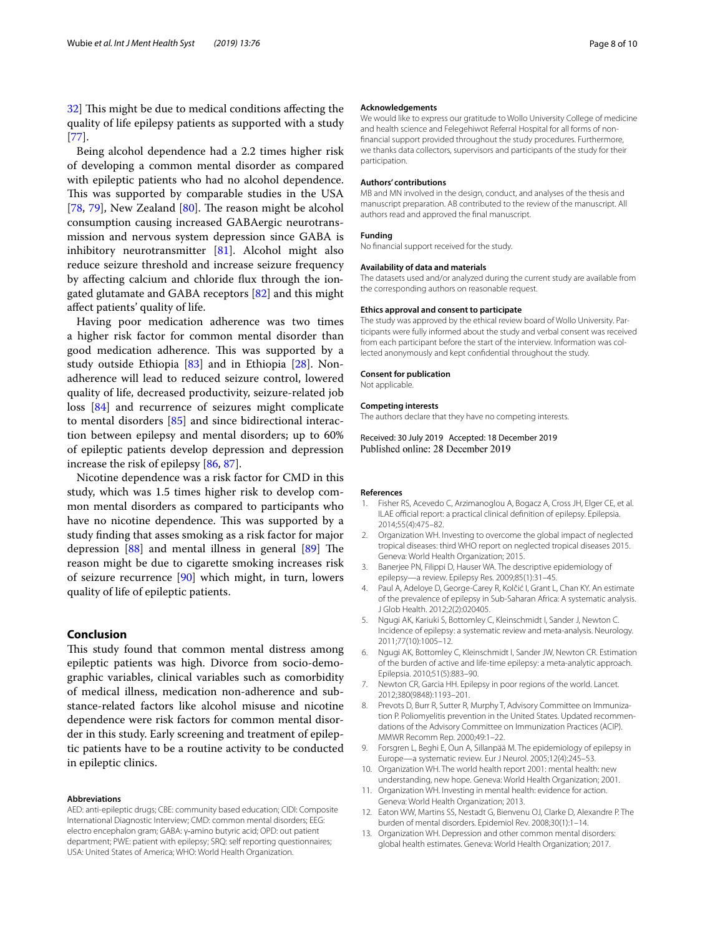[32\]](#page-8-17) This might be due to medical conditions affecting the quality of life epilepsy patients as supported with a study [[77\]](#page-9-14).

Being alcohol dependence had a 2.2 times higher risk of developing a common mental disorder as compared with epileptic patients who had no alcohol dependence. This was supported by comparable studies in the USA [[78,](#page-9-15) [79\]](#page-9-16), New Zealand  $[80]$  $[80]$ . The reason might be alcohol consumption causing increased GABAergic neurotransmission and nervous system depression since GABA is inhibitory neurotransmitter [[81\]](#page-9-18). Alcohol might also reduce seizure threshold and increase seizure frequency by afecting calcium and chloride fux through the ion‐ gated glutamate and GABA receptors [[82\]](#page-9-19) and this might afect patients' quality of life.

Having poor medication adherence was two times a higher risk factor for common mental disorder than good medication adherence. This was supported by a study outside Ethiopia [[83\]](#page-9-20) and in Ethiopia [\[28](#page-8-13)]. Nonadherence will lead to reduced seizure control, lowered quality of life, decreased productivity, seizure-related job loss [[84\]](#page-9-21) and recurrence of seizures might complicate to mental disorders [[85](#page-9-22)] and since bidirectional interaction between epilepsy and mental disorders; up to 60% of epileptic patients develop depression and depression increase the risk of epilepsy [[86](#page-9-23), [87\]](#page-9-24).

Nicotine dependence was a risk factor for CMD in this study, which was 1.5 times higher risk to develop common mental disorders as compared to participants who have no nicotine dependence. This was supported by a study fnding that asses smoking as a risk factor for major depression  $[88]$  $[88]$  and mental illness in general  $[89]$  $[89]$  The reason might be due to cigarette smoking increases risk of seizure recurrence [[90](#page-9-27)] which might, in turn, lowers quality of life of epileptic patients.

## **Conclusion**

This study found that common mental distress among epileptic patients was high. Divorce from socio-demographic variables, clinical variables such as comorbidity of medical illness, medication non-adherence and substance-related factors like alcohol misuse and nicotine dependence were risk factors for common mental disorder in this study. Early screening and treatment of epileptic patients have to be a routine activity to be conducted in epileptic clinics.

#### **Abbreviations**

AED: anti-epileptic drugs; CBE: community based education; CIDI: Composite International Diagnostic Interview; CMD: common mental disorders; EEG: electro encephalon gram; GABA: γ‐amino butyric acid; OPD: out patient department; PWE: patient with epilepsy; SRQ: self reporting questionnaires; USA: United States of America; WHO: World Health Organization.

#### **Acknowledgements**

We would like to express our gratitude to Wollo University College of medicine and health science and Felegehiwot Referral Hospital for all forms of nonfnancial support provided throughout the study procedures. Furthermore, we thanks data collectors, supervisors and participants of the study for their participation.

#### **Authors' contributions**

MB and MN involved in the design, conduct, and analyses of the thesis and manuscript preparation. AB contributed to the review of the manuscript. All authors read and approved the fnal manuscript.

#### **Funding**

No fnancial support received for the study.

#### **Availability of data and materials**

The datasets used and/or analyzed during the current study are available from the corresponding authors on reasonable request.

#### **Ethics approval and consent to participate**

The study was approved by the ethical review board of Wollo University. Participants were fully informed about the study and verbal consent was received from each participant before the start of the interview. Information was collected anonymously and kept confdential throughout the study.

#### **Consent for publication**

Not applicable.

#### **Competing interests**

The authors declare that they have no competing interests.

Received: 30 July 2019 Accepted: 18 December 2019 Published online: 28 December 2019

#### **References**

- <span id="page-7-0"></span>1. Fisher RS, Acevedo C, Arzimanoglou A, Bogacz A, Cross JH, Elger CE, et al. ILAE official report: a practical clinical definition of epilepsy. Epilepsia. 2014;55(4):475–82.
- <span id="page-7-1"></span>2. Organization WH. Investing to overcome the global impact of neglected tropical diseases: third WHO report on neglected tropical diseases 2015. Geneva: World Health Organization; 2015.
- <span id="page-7-2"></span>3. Banerjee PN, Filippi D, Hauser WA. The descriptive epidemiology of epilepsy—a review. Epilepsy Res. 2009;85(1):31–45.
- <span id="page-7-3"></span>4. Paul A, Adeloye D, George-Carey R, Kolčić I, Grant L, Chan KY. An estimate of the prevalence of epilepsy in Sub-Saharan Africa: A systematic analysis. J Glob Health. 2012;2(2):020405.
- <span id="page-7-4"></span>5. Ngugi AK, Kariuki S, Bottomley C, Kleinschmidt I, Sander J, Newton C. Incidence of epilepsy: a systematic review and meta-analysis. Neurology. 2011;77(10):1005–12.
- <span id="page-7-5"></span>6. Ngugi AK, Bottomley C, Kleinschmidt I, Sander JW, Newton CR. Estimation of the burden of active and life-time epilepsy: a meta-analytic approach. Epilepsia. 2010;51(5):883–90.
- <span id="page-7-6"></span>7. Newton CR, Garcia HH. Epilepsy in poor regions of the world. Lancet. 2012;380(9848):1193–201.
- <span id="page-7-7"></span>8. Prevots D, Burr R, Sutter R, Murphy T, Advisory Committee on Immunization P. Poliomyelitis prevention in the United States. Updated recommendations of the Advisory Committee on Immunization Practices (ACIP). MMWR Recomm Rep. 2000;49:1–22.
- <span id="page-7-8"></span>9. Forsgren L, Beghi E, Oun A, Sillanpää M. The epidemiology of epilepsy in Europe—a systematic review. Eur J Neurol. 2005;12(4):245–53.
- <span id="page-7-9"></span>10. Organization WH. The world health report 2001: mental health: new understanding, new hope. Geneva: World Health Organization; 2001.
- <span id="page-7-10"></span>11. Organization WH. Investing in mental health: evidence for action. Geneva: World Health Organization; 2013.
- <span id="page-7-11"></span>12. Eaton WW, Martins SS, Nestadt G, Bienvenu OJ, Clarke D, Alexandre P. The burden of mental disorders. Epidemiol Rev. 2008;30(1):1–14.
- <span id="page-7-12"></span>13. Organization WH. Depression and other common mental disorders: global health estimates. Geneva: World Health Organization; 2017.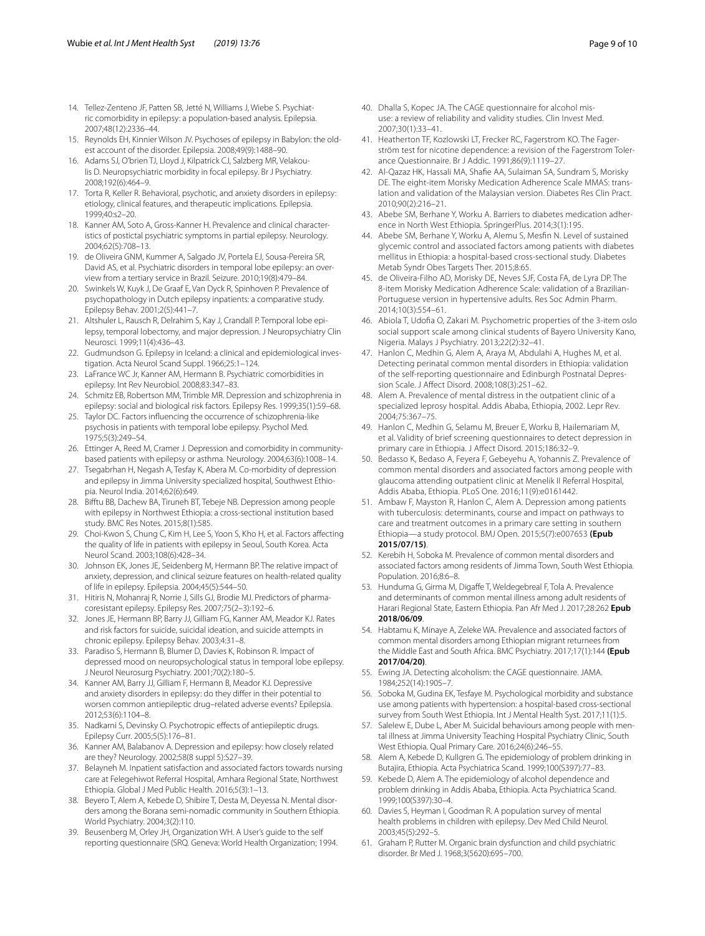- <span id="page-8-0"></span>14. Tellez-Zenteno JF, Patten SB, Jetté N, Williams J, Wiebe S. Psychiatric comorbidity in epilepsy: a population-based analysis. Epilepsia. 2007;48(12):2336–44.
- 15. Reynolds EH, Kinnier Wilson JV. Psychoses of epilepsy in Babylon: the oldest account of the disorder. Epilepsia. 2008;49(9):1488–90.
- <span id="page-8-1"></span>16. Adams SJ, O'brien TJ, Lloyd J, Kilpatrick CJ, Salzberg MR, Velakoulis D. Neuropsychiatric morbidity in focal epilepsy. Br J Psychiatry. 2008;192(6):464–9.
- <span id="page-8-2"></span>17. Torta R, Keller R. Behavioral, psychotic, and anxiety disorders in epilepsy: etiology, clinical features, and therapeutic implications. Epilepsia. 1999;40:s2–20.
- <span id="page-8-3"></span>18. Kanner AM, Soto A, Gross-Kanner H. Prevalence and clinical characteristics of postictal psychiatric symptoms in partial epilepsy. Neurology. 2004;62(5):708–13.
- <span id="page-8-4"></span>19. de Oliveira GNM, Kummer A, Salgado JV, Portela EJ, Sousa-Pereira SR, David AS, et al. Psychiatric disorders in temporal lobe epilepsy: an overview from a tertiary service in Brazil. Seizure. 2010;19(8):479–84.
- <span id="page-8-5"></span>20. Swinkels W, Kuyk J, De Graaf E, Van Dyck R, Spinhoven P. Prevalence of psychopathology in Dutch epilepsy inpatients: a comparative study. Epilepsy Behav. 2001;2(5):441–7.
- <span id="page-8-6"></span>21. Altshuler L, Rausch R, Delrahim S, Kay J, Crandall P. Temporal lobe epilepsy, temporal lobectomy, and major depression. J Neuropsychiatry Clin Neurosci. 1999;11(4):436–43.
- <span id="page-8-7"></span>22. Gudmundson G. Epilepsy in Iceland: a clinical and epidemiological investigation. Acta Neurol Scand Suppl. 1966;25:1–124.
- <span id="page-8-8"></span>23. LaFrance WC Jr, Kanner AM, Hermann B. Psychiatric comorbidities in epilepsy. Int Rev Neurobiol. 2008;83:347–83.
- <span id="page-8-9"></span>24. Schmitz EB, Robertson MM, Trimble MR. Depression and schizophrenia in epilepsy: social and biological risk factors. Epilepsy Res. 1999;35(1):59–68.
- <span id="page-8-10"></span>25. Taylor DC. Factors infuencing the occurrence of schizophrenia-like psychosis in patients with temporal lobe epilepsy. Psychol Med. 1975;5(3):249–54.
- <span id="page-8-11"></span>26. Ettinger A, Reed M, Cramer J. Depression and comorbidity in communitybased patients with epilepsy or asthma. Neurology. 2004;63(6):1008–14.
- <span id="page-8-12"></span>27. Tsegabrhan H, Negash A, Tesfay K, Abera M. Co-morbidity of depression and epilepsy in Jimma University specialized hospital, Southwest Ethiopia. Neurol India. 2014;62(6):649.
- <span id="page-8-13"></span>28. Biftu BB, Dachew BA, Tiruneh BT, Tebeje NB. Depression among people with epilepsy in Northwest Ethiopia: a cross-sectional institution based study. BMC Res Notes. 2015;8(1):585.
- <span id="page-8-14"></span>29. Choi-Kwon S, Chung C, Kim H, Lee S, Yoon S, Kho H, et al. Factors afecting the quality of life in patients with epilepsy in Seoul, South Korea. Acta Neurol Scand. 2003;108(6):428–34.
- <span id="page-8-15"></span>30. Johnson EK, Jones JE, Seidenberg M, Hermann BP. The relative impact of anxiety, depression, and clinical seizure features on health-related quality of life in epilepsy. Epilepsia. 2004;45(5):544–50.
- <span id="page-8-16"></span>31. Hitiris N, Mohanraj R, Norrie J, Sills GJ, Brodie MJ. Predictors of pharmacoresistant epilepsy. Epilepsy Res. 2007;75(2–3):192–6.
- <span id="page-8-17"></span>32. Jones JE, Hermann BP, Barry JJ, Gilliam FG, Kanner AM, Meador KJ. Rates and risk factors for suicide, suicidal ideation, and suicide attempts in chronic epilepsy. Epilepsy Behav. 2003;4:31–8.
- <span id="page-8-18"></span>33. Paradiso S, Hermann B, Blumer D, Davies K, Robinson R. Impact of depressed mood on neuropsychological status in temporal lobe epilepsy. J Neurol Neurosurg Psychiatry. 2001;70(2):180–5.
- <span id="page-8-19"></span>34. Kanner AM, Barry JJ, Gilliam F, Hermann B, Meador KJ. Depressive and anxiety disorders in epilepsy: do they difer in their potential to worsen common antiepileptic drug–related adverse events? Epilepsia. 2012;53(6):1104–8.
- <span id="page-8-20"></span>35. Nadkarni S, Devinsky O. Psychotropic effects of antiepileptic drugs. Epilepsy Curr. 2005;5(5):176–81.
- <span id="page-8-21"></span>36. Kanner AM, Balabanov A. Depression and epilepsy: how closely related are they? Neurology. 2002;58(8 suppl 5):S27–39.
- <span id="page-8-22"></span>37. Belayneh M. Inpatient satisfaction and associated factors towards nursing care at Felegehiwot Referral Hospital, Amhara Regional State, Northwest Ethiopia. Global J Med Public Health. 2016;5(3):1–13.
- <span id="page-8-23"></span>38. Beyero T, Alem A, Kebede D, Shibire T, Desta M, Deyessa N. Mental disorders among the Borana semi-nomadic community in Southern Ethiopia. World Psychiatry. 2004;3(2):110.
- <span id="page-8-24"></span>39. Beusenberg M, Orley JH, Organization WH. A User's guide to the self reporting questionnaire (SRQ. Geneva: World Health Organization; 1994.
- <span id="page-8-25"></span>40. Dhalla S, Kopec JA. The CAGE questionnaire for alcohol misuse: a review of reliability and validity studies. Clin Invest Med. 2007;30(1):33–41.
- <span id="page-8-26"></span>41. Heatherton TF, Kozlowski LT, Frecker RC, Fagerstrom KO. The Fagerström test for nicotine dependence: a revision of the Fagerstrom Tolerance Questionnaire. Br J Addic. 1991;86(9):1119–27.
- <span id="page-8-27"></span>42. Al-Qazaz HK, Hassali MA, Shafe AA, Sulaiman SA, Sundram S, Morisky DE. The eight-item Morisky Medication Adherence Scale MMAS: translation and validation of the Malaysian version. Diabetes Res Clin Pract. 2010;90(2):216–21.
- 43. Abebe SM, Berhane Y, Worku A. Barriers to diabetes medication adherence in North West Ethiopia. SpringerPlus. 2014;3(1):195.
- 44. Abebe SM, Berhane Y, Worku A, Alemu S, Mesfn N. Level of sustained glycemic control and associated factors among patients with diabetes mellitus in Ethiopia: a hospital-based cross-sectional study. Diabetes Metab Syndr Obes Targets Ther. 2015;8:65.
- <span id="page-8-28"></span>45. de Oliveira-Filho AD, Morisky DE, Neves SJF, Costa FA, de Lyra DP. The 8-item Morisky Medication Adherence Scale: validation of a Brazilian-Portuguese version in hypertensive adults. Res Soc Admin Pharm. 2014;10(3):554–61.
- <span id="page-8-29"></span>46. Abiola T, Udofa O, Zakari M. Psychometric properties of the 3-item oslo social support scale among clinical students of Bayero University Kano, Nigeria. Malays J Psychiatry. 2013;22(2):32–41.
- <span id="page-8-30"></span>47. Hanlon C, Medhin G, Alem A, Araya M, Abdulahi A, Hughes M, et al. Detecting perinatal common mental disorders in Ethiopia: validation of the self-reporting questionnaire and Edinburgh Postnatal Depression Scale. J Afect Disord. 2008;108(3):251–62.
- <span id="page-8-31"></span>48. Alem A. Prevalence of mental distress in the outpatient clinic of a specialized leprosy hospital. Addis Ababa, Ethiopia, 2002. Lepr Rev. 2004;75:367–75.
- 49. Hanlon C, Medhin G, Selamu M, Breuer E, Worku B, Hailemariam M, et al. Validity of brief screening questionnaires to detect depression in primary care in Ethiopia. J Afect Disord. 2015;186:32–9.
- 50. Bedasso K, Bedaso A, Feyera F, Gebeyehu A, Yohannis Z. Prevalence of common mental disorders and associated factors among people with glaucoma attending outpatient clinic at Menelik II Referral Hospital, Addis Ababa, Ethiopia. PLoS One. 2016;11(9):e0161442.
- <span id="page-8-32"></span>51. Ambaw F, Mayston R, Hanlon C, Alem A. Depression among patients with tuberculosis: determinants, course and impact on pathways to care and treatment outcomes in a primary care setting in southern Ethiopia—a study protocol. BMJ Open. 2015;5(7):e007653 **(Epub 2015/07/15)**.
- <span id="page-8-33"></span>52. Kerebih H, Soboka M. Prevalence of common mental disorders and associated factors among residents of Jimma Town, South West Ethiopia. Population. 2016;8:6–8.
- 53. Hunduma G, Girma M, Digafe T, Weldegebreal F, Tola A. Prevalence and determinants of common mental illness among adult residents of Harari Regional State, Eastern Ethiopia. Pan Afr Med J. 2017;28:262 **Epub 2018/06/09**.
- <span id="page-8-34"></span>54. Habtamu K, Minaye A, Zeleke WA. Prevalence and associated factors of common mental disorders among Ethiopian migrant returnees from the Middle East and South Africa. BMC Psychiatry. 2017;17(1):144 **(Epub 2017/04/20)**.
- <span id="page-8-35"></span>55. Ewing JA. Detecting alcoholism: the CAGE questionnaire. JAMA. 1984;252(14):1905–7.
- <span id="page-8-36"></span>56. Soboka M, Gudina EK, Tesfaye M. Psychological morbidity and substance use among patients with hypertension: a hospital-based cross-sectional survey from South West Ethiopia. Int J Mental Health Syst. 2017;11(1):5.
- 57. Salelew E, Dube L, Aber M. Suicidal behaviours among people with mental illness at Jimma University Teaching Hospital Psychiatry Clinic, South West Ethiopia. Qual Primary Care. 2016;24(6):246–55.
- 58. Alem A, Kebede D, Kullgren G. The epidemiology of problem drinking in Butajira, Ethiopia. Acta Psychiatrica Scand. 1999;100(S397):77–83.
- <span id="page-8-37"></span>59. Kebede D, Alem A. The epidemiology of alcohol dependence and problem drinking in Addis Ababa, Ethiopia. Acta Psychiatrica Scand. 1999;100(S397):30–4.
- <span id="page-8-38"></span>60. Davies S, Heyman I, Goodman R. A population survey of mental health problems in children with epilepsy. Dev Med Child Neurol. 2003;45(5):292–5.
- <span id="page-8-39"></span>61. Graham P, Rutter M. Organic brain dysfunction and child psychiatric disorder. Br Med J. 1968;3(5620):695–700.